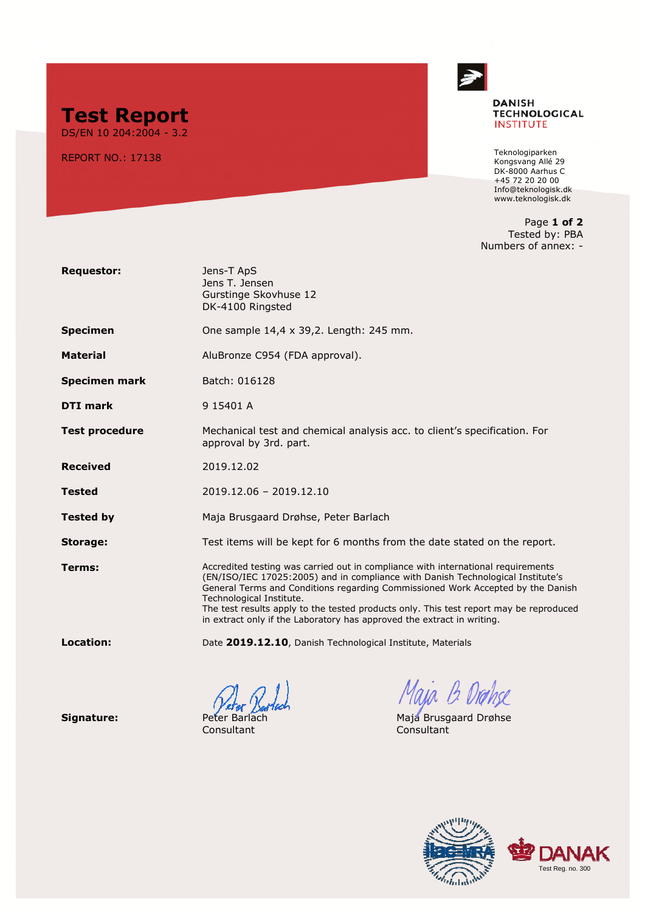

**DANISH TECHNOLOGICAL INSTITUTE** 

Teknologiparken Kongsvang Allé 29 DK-8000 Aarhus C +45 72 20 20 00 [Info@teknologisk.dk](mailto:Info@teknologisk.dk) www.teknologisk.dk

Page **1 of 2** Tested by: PBA Numbers of annex: -



**Test Report** DS/EN 10 204:2004 - 3.2

REPORT NO.: 17138

Consultant Consultant

**Signature: Peter Barlach Maja Brusgaard Drøhse**